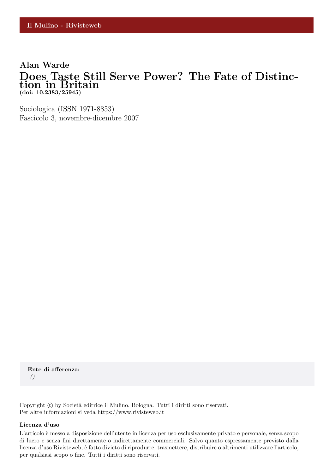## **Alan Warde Does Taste Still Serve Power? The Fate of Distinction in Britain (doi: 10.2383/25945)**

Sociologica (ISSN 1971-8853) Fascicolo 3, novembre-dicembre 2007

**Ente di afferenza:** *()*

Copyright © by Società editrice il Mulino, Bologna. Tutti i diritti sono riservati. Per altre informazioni si veda https://www.rivisteweb.it

#### **Licenza d'uso**

L'articolo è messo a disposizione dell'utente in licenza per uso esclusivamente privato e personale, senza scopo di lucro e senza fini direttamente o indirettamente commerciali. Salvo quanto espressamente previsto dalla licenza d'uso Rivisteweb, è fatto divieto di riprodurre, trasmettere, distribuire o altrimenti utilizzare l'articolo, per qualsiasi scopo o fine. Tutti i diritti sono riservati.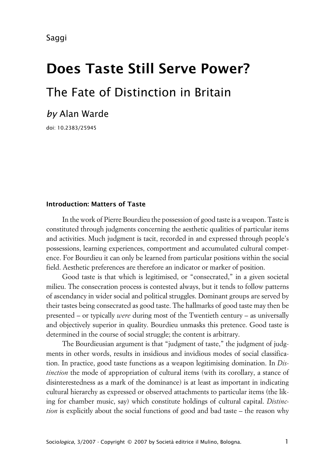Saggi

# **Does Taste Still Serve Power?** The Fate of Distinction in Britain

# *by* Alan Warde

doi: 10.2383/25945

#### **xIntroduction: Matters of Taste**

In the work of Pierre Bourdieu the possession of good taste is a weapon. Taste is constituted through judgments concerning the aesthetic qualities of particular items and activities. Much judgment is tacit, recorded in and expressed through people's possessions, learning experiences, comportment and accumulated cultural competence. For Bourdieu it can only be learned from particular positions within the social field. Aesthetic preferences are therefore an indicator or marker of position.

Good taste is that which is legitimised, or "consecrated," in a given societal milieu. The consecration process is contested always, but it tends to follow patterns of ascendancy in wider social and political struggles. Dominant groups are served by their tastes being consecrated as good taste. The hallmarks of good taste may then be presented – or typically *were* during most of the Twentieth century – as universally and objectively superior in quality. Bourdieu unmasks this pretence. Good taste is determined in the course of social struggle; the content is arbitrary.

The Bourdieusian argument is that "judgment of taste," the judgment of judgments in other words, results in insidious and invidious modes of social classification. In practice, good taste functions as a weapon legitimising domination. In *Distinction* the mode of appropriation of cultural items (with its corollary, a stance of disinterestedness as a mark of the dominance) is at least as important in indicating cultural hierarchy as expressed or observed attachments to particular items (the liking for chamber music, say) which constitute holdings of cultural capital. *Distinction* is explicitly about the social functions of good and bad taste – the reason why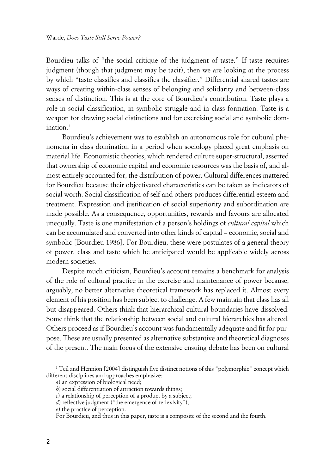Bourdieu talks of "the social critique of the judgment of taste." If taste requires judgment (though that judgment may be tacit), then we are looking at the process by which "taste classifies and classifies the classifier." Differential shared tastes are ways of creating within-class senses of belonging and solidarity and between-class senses of distinction. This is at the core of Bourdieu's contribution. Taste plays a role in social classification, in symbolic struggle and in class formation. Taste is a weapon for drawing social distinctions and for exercising social and symbolic domination. $1$ 

Bourdieu's achievement was to establish an autonomous role for cultural phenomena in class domination in a period when sociology placed great emphasis on material life. Economistic theories, which rendered culture super-structural, asserted that ownership of economic capital and economic resources was the basis of, and almost entirely accounted for, the distribution of power. Cultural differences mattered for Bourdieu because their objectivated characteristics can be taken as indicators of social worth. Social classification of self and others produces differential esteem and treatment. Expression and justification of social superiority and subordination are made possible. As a consequence, opportunities, rewards and favours are allocated unequally. Taste is one manifestation of a person's holdings of *cultural capital* which can be accumulated and converted into other kinds of capital – economic, social and symbolic [Bourdieu 1986]. For Bourdieu, these were postulates of a general theory of power, class and taste which he anticipated would be applicable widely across modern societies.

Despite much criticism, Bourdieu's account remains a benchmark for analysis of the role of cultural practice in the exercise and maintenance of power because, arguably, no better alternative theoretical framework has replaced it. Almost every element of his position has been subject to challenge. A few maintain that class has all but disappeared. Others think that hierarchical cultural boundaries have dissolved. Some think that the relationship between social and cultural hierarchies has altered. Others proceed as if Bourdieu's account was fundamentally adequate and fit for purpose. These are usually presented as alternative substantive and theoretical diagnoses of the present. The main focus of the extensive ensuing debate has been on cultural

<sup>1</sup> Teil and Hennion [2004] distinguish five distinct notions of this "polymorphic" concept which different disciplines and approaches emphasize:

*a*) an expression of biological need;

*b*) social differentiation of attraction towards things;

*c*) a relationship of perception of a product by a subject;

*d*) reflective judgment ("the emergence of reflexivity");

*e*) the practice of perception.

For Bourdieu, and thus in this paper, taste is a composite of the second and the fourth.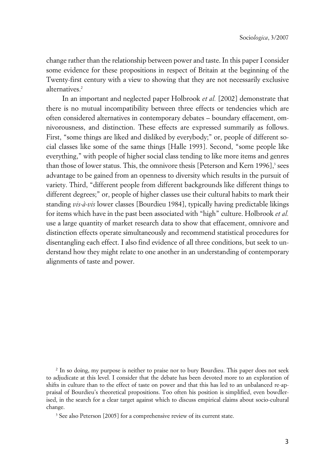change rather than the relationship between power and taste. In this paper I consider some evidence for these propositions in respect of Britain at the beginning of the Twenty-first century with a view to showing that they are not necessarily exclusive alternatives.<sup>2</sup>

In an important and neglected paper Holbrook *et al.* [2002] demonstrate that there is no mutual incompatibility between three effects or tendencies which are often considered alternatives in contemporary debates – boundary effacement, omnivorousness, and distinction. These effects are expressed summarily as follows. First, "some things are liked and disliked by everybody;" or, people of different social classes like some of the same things [Halle 1993]. Second, "some people like everything," with people of higher social class tending to like more items and genres than those of lower status. This, the omnivore thesis [Peterson and Kern 1996],<sup>3</sup> sees advantage to be gained from an openness to diversity which results in the pursuit of variety. Third, "different people from different backgrounds like different things to different degrees;" or, people of higher classes use their cultural habits to mark their standing *vis-à-vis* lower classes [Bourdieu 1984], typically having predictable likings for items which have in the past been associated with "high" culture. Holbrook *et al.* use a large quantity of market research data to show that effacement, omnivore and distinction effects operate simultaneously and recommend statistical procedures for disentangling each effect. I also find evidence of all three conditions, but seek to understand how they might relate to one another in an understanding of contemporary alignments of taste and power.

2 In so doing, my purpose is neither to praise nor to bury Bourdieu. This paper does not seek to adjudicate at this level. I consider that the debate has been devoted more to an exploration of shifts in culture than to the effect of taste on power and that this has led to an unbalanced re-appraisal of Bourdieu's theoretical propositions. Too often his position is simplified, even bowdlerised, in the search for a clear target against which to discuss empirical claims about socio-cultural change.

<sup>3</sup> See also Peterson [2005] for a comprehensive review of its current state.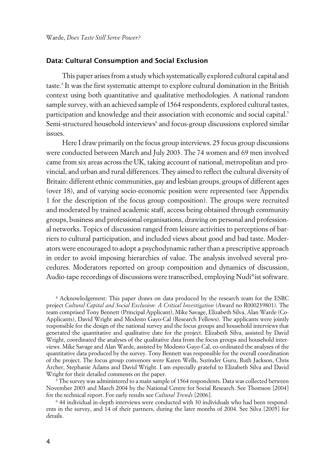#### **xData: Cultural Consumption and Social Exclusion**

This paper arises from a study which systematically explored cultural capital and taste.<sup>4</sup> It was the first systematic attempt to explore cultural domination in the British context using both quantitative and qualitative methodologies. A national random sample survey, with an achieved sample of 1564 respondents, explored cultural tastes, participation and knowledge and their association with economic and social capital.<sup>5</sup> Semi-structured household interviews<sup>6</sup> and focus-group discussions explored similar issues.

Here I draw primarily on the focus group interviews. 25 focus group discussions were conducted between March and July 2003. The 74 women and 69 men involved came from six areas across the UK, taking account of national, metropolitan and provincial, and urban and rural differences. They aimed to reflect the cultural diversity of Britain: different ethnic communities, gay and lesbian groups, groups of different ages (over 18), and of varying socio-economic position were represented (see Appendix 1 for the description of the focus group composition). The groups were recruited and moderated by trained academic staff, access being obtained through community groups, business and professional organisations, drawing on personal and professional networks. Topics of discussion ranged from leisure activities to perceptions of barriers to cultural participation, and included views about good and bad taste. Moderators were encouraged to adopt a psychodynamic rather than a prescriptive approach in order to avoid imposing hierarchies of value. The analysis involved several procedures. Moderators reported on group composition and dynamics of discussion, Audio-tape recordings of discussions were transcribed, employing Nudi\*ist software.

4 Acknowledgement: This paper draws on data produced by the research team for the ESRC project *Cultural Capital and Social Exclusion: A Critical Investigation* (Award no R000239801). The team comprised Tony Bennett (Principal Applicant), Mike Savage, Elizabeth Silva, Alan Warde (Co-Applicants), David Wright and Modesto Gayo-Cal (Research Fellows). The applicants were jointly responsible for the design of the national survey and the focus groups and household interviews that generated the quantitative and qualitative date for the project. Elizabeth Silva, assisted by David Wright, coordinated the analyses of the qualitative data from the focus groups and household interviews. Mike Savage and Alan Warde, assisted by Modesto Gayo-Cal, co-ordinated the analyses of the quantitative data produced by the survey. Tony Bennett was responsible for the overall coordination of the project. The focus group convenors were Karen Wells, Surinder Guru, Ruth Jackson, Chris Archer, Stephanie Adams and David Wright. I am especially grateful to Elizabeth Silva and David Wright for their detailed comments on the paper.

 $^5$  The survey was administered to a main sample of 1564 respondents. Data was collected between November 2003 and March 2004 by the National Centre for Social Research. See Thomson [2004] for the technical report. For early results see *Cultural Trends* [2006].

6 44 individual in-depth interviews were conducted with 30 individuals who had been respondents in the survey, and 14 of their partners, during the later months of 2004. See Silva [2005] for details.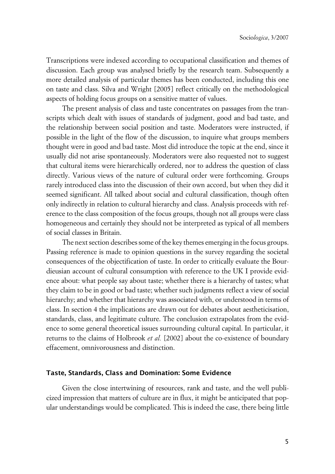Transcriptions were indexed according to occupational classification and themes of discussion. Each group was analysed briefly by the research team. Subsequently a more detailed analysis of particular themes has been conducted, including this one on taste and class. Silva and Wright [2005] reflect critically on the methodological aspects of holding focus groups on a sensitive matter of values.

The present analysis of class and taste concentrates on passages from the transcripts which dealt with issues of standards of judgment, good and bad taste, and the relationship between social position and taste. Moderators were instructed, if possible in the light of the flow of the discussion, to inquire what groups members thought were in good and bad taste. Most did introduce the topic at the end, since it usually did not arise spontaneously. Moderators were also requested not to suggest that cultural items were hierarchically ordered, nor to address the question of class directly. Various views of the nature of cultural order were forthcoming. Groups rarely introduced class into the discussion of their own accord, but when they did it seemed significant. All talked about social and cultural classification, though often only indirectly in relation to cultural hierarchy and class. Analysis proceeds with reference to the class composition of the focus groups, though not all groups were class homogeneous and certainly they should not be interpreted as typical of all members of social classes in Britain.

The next section describes some of the key themes emerging in the focus groups. Passing reference is made to opinion questions in the survey regarding the societal consequences of the objectification of taste. In order to critically evaluate the Bourdieusian account of cultural consumption with reference to the UK I provide evidence about: what people say about taste; whether there is a hierarchy of tastes; what they claim to be in good or bad taste; whether such judgments reflect a view of social hierarchy; and whether that hierarchy was associated with, or understood in terms of class. In section 4 the implications are drawn out for debates about aestheticisation, standards, class, and legitimate culture. The conclusion extrapolates from the evidence to some general theoretical issues surrounding cultural capital. In particular, it returns to the claims of Holbrook *et al.* [2002] about the co-existence of boundary effacement, omnivorousness and distinction.

#### **xTaste, Standards, Class and Domination: Some Evidence**

Given the close intertwining of resources, rank and taste, and the well publicized impression that matters of culture are in flux, it might be anticipated that popular understandings would be complicated. This is indeed the case, there being little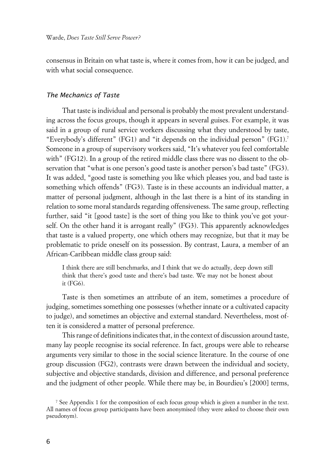consensus in Britain on what taste is, where it comes from, how it can be judged, and with what social consequence.

#### x*The Mechanics of Taste*

That taste is individual and personal is probably the most prevalent understanding across the focus groups, though it appears in several guises. For example, it was said in a group of rural service workers discussing what they understood by taste, "Everybody's different" (FG1) and "it depends on the individual person" (FG1).<sup>7</sup> Someone in a group of supervisory workers said, "It's whatever you feel comfortable with" (FG12). In a group of the retired middle class there was no dissent to the observation that "what is one person's good taste is another person's bad taste" (FG3). It was added, "good taste is something you like which pleases you, and bad taste is something which offends" (FG3). Taste is in these accounts an individual matter, a matter of personal judgment, although in the last there is a hint of its standing in relation to some moral standards regarding offensiveness. The same group, reflecting further, said "it [good taste] is the sort of thing you like to think you've got yourself. On the other hand it is arrogant really" (FG3). This apparently acknowledges that taste is a valued property, one which others may recognize, but that it may be problematic to pride oneself on its possession. By contrast, Laura, a member of an African-Caribbean middle class group said:

I think there are still benchmarks, and I think that we do actually, deep down still think that there's good taste and there's bad taste. We may not be honest about it (FG6).

Taste is then sometimes an attribute of an item, sometimes a procedure of judging, sometimes something one possesses (whether innate or a cultivated capacity to judge), and sometimes an objective and external standard. Nevertheless, most often it is considered a matter of personal preference.

This range of definitions indicates that, in the context of discussion around taste, many lay people recognise its social reference. In fact, groups were able to rehearse arguments very similar to those in the social science literature. In the course of one group discussion (FG2), contrasts were drawn between the individual and society, subjective and objective standards, division and difference, and personal preference and the judgment of other people. While there may be, in Bourdieu's [2000] terms,

<sup>7</sup> See Appendix 1 for the composition of each focus group which is given a number in the text. All names of focus group participants have been anonymised (they were asked to choose their own pseudonym).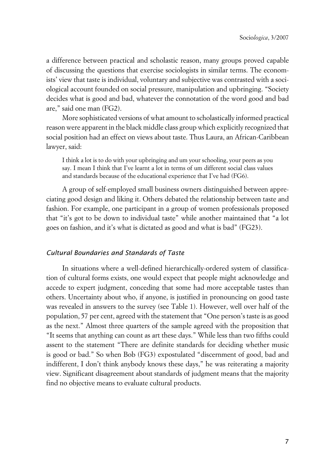a difference between practical and scholastic reason, many groups proved capable of discussing the questions that exercise sociologists in similar terms. The economists' view that taste is individual, voluntary and subjective was contrasted with a sociological account founded on social pressure, manipulation and upbringing. "Society decides what is good and bad, whatever the connotation of the word good and bad are," said one man (FG2).

More sophisticated versions of what amount to scholastically informed practical reason were apparent in the black middle class group which explicitly recognized that social position had an effect on views about taste. Thus Laura, an African-Caribbean lawyer, said:

I think a lot is to do with your upbringing and um your schooling, your peers as you say. I mean I think that I've learnt a lot in terms of um different social class values and standards because of the educational experience that I've had (FG6).

A group of self-employed small business owners distinguished between appreciating good design and liking it. Others debated the relationship between taste and fashion. For example, one participant in a group of women professionals proposed that "it's got to be down to individual taste" while another maintained that "a lot goes on fashion, and it's what is dictated as good and what is bad" (FG23).

#### x*Cultural Boundaries and Standards of Taste*

In situations where a well-defined hierarchically-ordered system of classification of cultural forms exists, one would expect that people might acknowledge and accede to expert judgment, conceding that some had more acceptable tastes than others. Uncertainty about who, if anyone, is justified in pronouncing on good taste was revealed in answers to the survey (see Table 1). However, well over half of the population, 57 per cent, agreed with the statement that "One person's taste is as good as the next." Almost three quarters of the sample agreed with the proposition that "It seems that anything can count as art these days." While less than two fifths could assent to the statement "There are definite standards for deciding whether music is good or bad." So when Bob (FG3) expostulated "discernment of good, bad and indifferent, I don't think anybody knows these days," he was reiterating a majority view. Significant disagreement about standards of judgment means that the majority find no objective means to evaluate cultural products.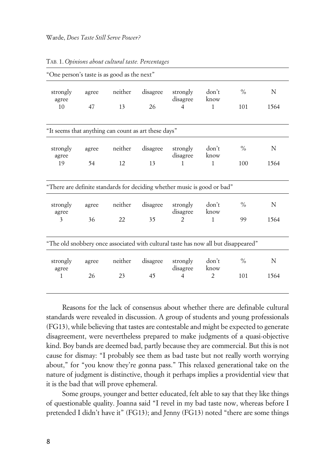| "One person's taste is as good as the next"          |             |               |                |                                                                                    |                               |               |           |
|------------------------------------------------------|-------------|---------------|----------------|------------------------------------------------------------------------------------|-------------------------------|---------------|-----------|
| strongly<br>agree<br>10                              | agree<br>47 | neither<br>13 | disagree<br>26 | strongly<br>disagree<br>4                                                          | don't<br>know<br>$\mathbf{1}$ | $\%$<br>101   | N<br>1564 |
|                                                      |             |               |                |                                                                                    |                               |               |           |
| "It seems that anything can count as art these days" |             |               |                |                                                                                    |                               |               |           |
| strongly<br>agree                                    | agree       | neither       | disagree       | strongly<br>disagree                                                               | don't<br>know                 | $\frac{0}{0}$ | N         |
| 19                                                   | 54          | 12            | 13             | $\mathbf{1}$                                                                       | $\mathbf{1}$                  | 100           | 1564      |
|                                                      |             |               |                | "There are definite standards for deciding whether music is good or bad"           |                               |               |           |
| strongly<br>agree                                    | agree       | neither       | disagree       | strongly<br>disagree                                                               | don't<br>know                 | $\frac{0}{0}$ | N         |
| $\overline{\mathbf{3}}$                              | 36          | 22            | 35             | $\overline{2}$                                                                     | $\mathbf{1}$                  | 99            | 1564      |
|                                                      |             |               |                | "The old snobbery once associated with cultural taste has now all but disappeared" |                               |               |           |
| strongly<br>agree                                    | agree       | neither       | disagree       | strongly<br>disagree                                                               | don't<br>know                 | $\frac{0}{0}$ | N         |
| $\mathbf{1}$                                         | 26          | 23            | 45             | $\overline{4}$                                                                     | $\overline{2}$                | 101           | 1564      |

TAB. 1. *Opinions about cultural taste. Percentages*

Reasons for the lack of consensus about whether there are definable cultural standards were revealed in discussion. A group of students and young professionals (FG13), while believing that tastes are contestable and might be expected to generate disagreement, were nevertheless prepared to make judgments of a quasi-objective kind. Boy bands are deemed bad, partly because they are commercial. But this is not cause for dismay: "I probably see them as bad taste but not really worth worrying about," for "you know they're gonna pass." This relaxed generational take on the nature of judgment is distinctive, though it perhaps implies a providential view that it is the bad that will prove ephemeral.

Some groups, younger and better educated, felt able to say that they like things of questionable quality. Joanna said "I revel in my bad taste now, whereas before I pretended I didn't have it" (FG13); and Jenny (FG13) noted "there are some things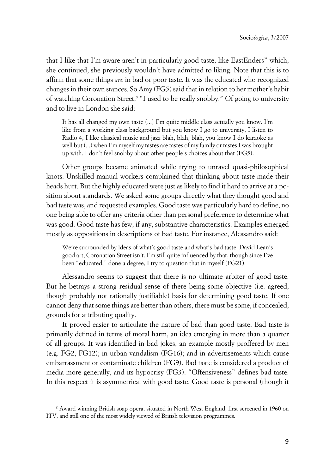that I like that I'm aware aren't in particularly good taste, like EastEnders" which, she continued, she previously wouldn't have admitted to liking. Note that this is to affirm that some things *are* in bad or poor taste. It was the educated who recognized changes in their own stances. So Amy (FG5) said that in relation to her mother's habit of watching Coronation Street,<sup>8</sup> "I used to be really snobby." Of going to university and to live in London she said:

It has all changed my own taste (...) I'm quite middle class actually you know. I'm like from a working class background but you know I go to university, I listen to Radio 4, I like classical music and jazz blah, blah, blah, you know I do karaoke as well but (...) when I'm myself my tastes are tastes of my family or tastes I was brought up with. I don't feel snobby about other people's choices about that (FG5).

Other groups became animated while trying to unravel quasi-philosophical knots. Unskilled manual workers complained that thinking about taste made their heads hurt. But the highly educated were just as likely to find it hard to arrive at a position about standards. We asked some groups directly what they thought good and bad taste was, and requested examples. Good taste was particularly hard to define, no one being able to offer any criteria other than personal preference to determine what was good. Good taste has few, if any, substantive characteristics. Examples emerged mostly as oppositions in descriptions of bad taste. For instance, Alessandro said:

We're surrounded by ideas of what's good taste and what's bad taste. David Lean's good art, Coronation Street isn't. I'm still quite influenced by that, though since I've been "educated," done a degree, I try to question that in myself (FG21).

Alessandro seems to suggest that there is no ultimate arbiter of good taste. But he betrays a strong residual sense of there being some objective (i.e. agreed, though probably not rationally justifiable) basis for determining good taste. If one cannot deny that some things are better than others, there must be some, if concealed, grounds for attributing quality.

It proved easier to articulate the nature of bad than good taste. Bad taste is primarily defined in terms of moral harm, an idea emerging in more than a quarter of all groups. It was identified in bad jokes, an example mostly proffered by men (e.g. FG2, FG12); in urban vandalism (FG16); and in advertisements which cause embarrassment or contaminate children (FG9). Bad taste is considered a product of media more generally, and its hypocrisy (FG3). "Offensiveness" defines bad taste. In this respect it is asymmetrical with good taste. Good taste is personal (though it

<sup>8</sup> Award winning British soap opera, situated in North West England, first screened in 1960 on ITV, and still one of the most widely viewed of British television programmes.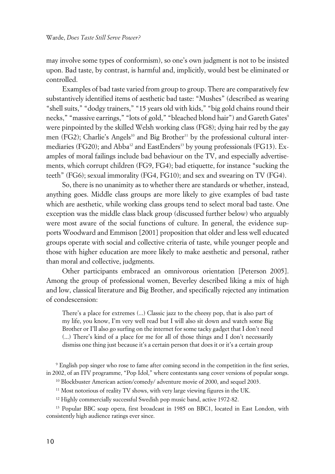may involve some types of conformism), so one's own judgment is not to be insisted upon. Bad taste, by contrast, is harmful and, implicitly, would best be eliminated or controlled.

Examples of bad taste varied from group to group. There are comparatively few substantively identified items of aesthetic bad taste: "Mushes" (described as wearing "shell suits," "dodgy trainers," "15 years old with kids," "big gold chains round their necks," "massive earrings," "lots of gold," "bleached blond hair") and Gareth Gates<sup>9</sup> were pinpointed by the skilled Welsh working class (FG8); dying hair red by the gay men (FG2); Charlie's Angels<sup>10</sup> and Big Brother<sup>11</sup> by the professional cultural intermediaries (FG20); and Abba<sup>12</sup> and EastEnders<sup>13</sup> by young professionals (FG13). Examples of moral failings include bad behaviour on the TV, and especially advertisements, which corrupt children (FG9, FG4); bad etiquette, for instance "sucking the teeth" (FG6); sexual immorality (FG4, FG10); and sex and swearing on TV (FG4).

So, there is no unanimity as to whether there are standards or whether, instead, anything goes. Middle class groups are more likely to give examples of bad taste which are aesthetic, while working class groups tend to select moral bad taste. One exception was the middle class black group (discussed further below) who arguably were most aware of the social functions of culture. In general, the evidence supports Woodward and Emmison [2001] proposition that older and less well educated groups operate with social and collective criteria of taste, while younger people and those with higher education are more likely to make aesthetic and personal, rather than moral and collective, judgments.

Other participants embraced an omnivorous orientation [Peterson 2005]. Among the group of professional women, Beverley described liking a mix of high and low, classical literature and Big Brother, and specifically rejected any intimation of condescension:

There's a place for extremes (...) Classic jazz to the cheesy pop, that is also part of my life, you know, I'm very well read but I will also sit down and watch some Big Brother or I'll also go surfing on the internet for some tacky gadget that I don't need (...) There's kind of a place for me for all of those things and I don't necessarily dismiss one thing just because it's a certain person that does it or it's a certain group

9 English pop singer who rose to fame after coming second in the competition in the first series, in 2002, of an ITV programme, "Pop Idol," where contestants sang cover versions of popular songs.

<sup>10</sup> Blockbuster American action/comedy/ adventure movie of 2000, and sequel 2003.

<sup>11</sup> Most notorious of reality TV shows, with very large viewing figures in the UK.

<sup>12</sup> Highly commercially successful Swedish pop music band, active 1972-82.

<sup>13</sup> Popular BBC soap opera, first broadcast in 1985 on BBC1, located in East London, with consistently high audience ratings ever since.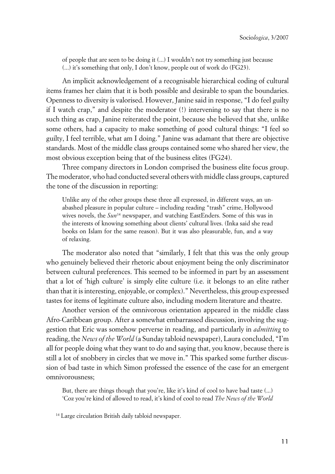of people that are seen to be doing it (...) I wouldn't not try something just because (...) it's something that only, I don't know, people out of work do (FG23).

An implicit acknowledgement of a recognisable hierarchical coding of cultural items frames her claim that it is both possible and desirable to span the boundaries. Openness to diversity is valorised. However, Janine said in response, "I do feel guilty if I watch crap," and despite the moderator (!) intervening to say that there is no such thing as crap, Janine reiterated the point, because she believed that she, unlike some others, had a capacity to make something of good cultural things: "I feel so guilty, I feel terrible, what am I doing." Janine was adamant that there are objective standards. Most of the middle class groups contained some who shared her view, the most obvious exception being that of the business elites (FG24).

Three company directors in London comprised the business elite focus group. The moderator, who had conducted several others with middle class groups, captured the tone of the discussion in reporting:

Unlike any of the other groups these three all expressed, in different ways, an unabashed pleasure in popular culture – including reading "trash" crime, Hollywood wives novels, the *Sun*<sup>14</sup> newspaper, and watching EastEnders. Some of this was in the interests of knowing something about clients' cultural lives. (Inka said she read books on Islam for the same reason). But it was also pleasurable, fun, and a way of relaxing.

The moderator also noted that "similarly, I felt that this was the only group who genuinely believed their rhetoric about enjoyment being the only discriminator between cultural preferences. This seemed to be informed in part by an assessment that a lot of 'high culture' is simply elite culture (i.e. it belongs to an elite rather than that it is interesting, enjoyable, or complex)." Nevertheless, this group expressed tastes for items of legitimate culture also, including modern literature and theatre.

Another version of the omnivorous orientation appeared in the middle class Afro-Caribbean group. After a somewhat embarrassed discussion, involving the suggestion that Eric was somehow perverse in reading, and particularly in *admitting* to reading, the *News of the World* (a Sunday tabloid newspaper), Laura concluded, "I'm all for people doing what they want to do and saying that, you know, because there is still a lot of snobbery in circles that we move in." This sparked some further discussion of bad taste in which Simon professed the essence of the case for an emergent omnivorousness;

But, there are things though that you're, like it's kind of cool to have bad taste (...) 'Coz you're kind of allowed to read, it's kind of cool to read *The News of the World*

14 Large circulation British daily tabloid newspaper.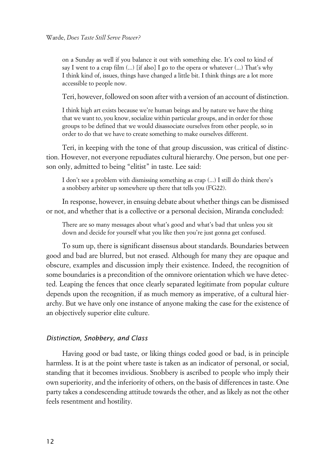on a Sunday as well if you balance it out with something else. It's cool to kind of say I went to a crap film  $(...)$  [if also] I go to the opera or whatever  $(...)$  That's why I think kind of, issues, things have changed a little bit. I think things are a lot more accessible to people now.

Teri, however, followed on soon after with a version of an account of distinction.

I think high art exists because we're human beings and by nature we have the thing that we want to, you know, socialize within particular groups, and in order for those groups to be defined that we would disassociate ourselves from other people, so in order to do that we have to create something to make ourselves different.

Teri, in keeping with the tone of that group discussion, was critical of distinction. However, not everyone repudiates cultural hierarchy. One person, but one person only, admitted to being "elitist" in taste. Lee said:

I don't see a problem with dismissing something as crap (...) I still do think there's a snobbery arbiter up somewhere up there that tells you (FG22).

In response, however, in ensuing debate about whether things can be dismissed or not, and whether that is a collective or a personal decision, Miranda concluded:

There are so many messages about what's good and what's bad that unless you sit down and decide for yourself what you like then you're just gonna get confused.

To sum up, there is significant dissensus about standards. Boundaries between good and bad are blurred, but not erased. Although for many they are opaque and obscure, examples and discussion imply their existence. Indeed, the recognition of some boundaries is a precondition of the omnivore orientation which we have detected. Leaping the fences that once clearly separated legitimate from popular culture depends upon the recognition, if as much memory as imperative, of a cultural hierarchy. But we have only one instance of anyone making the case for the existence of an objectively superior elite culture.

#### x*Distinction, Snobbery, and Class*

Having good or bad taste, or liking things coded good or bad, is in principle harmless. It is at the point where taste is taken as an indicator of personal, or social, standing that it becomes invidious. Snobbery is ascribed to people who imply their own superiority, and the inferiority of others, on the basis of differences in taste. One party takes a condescending attitude towards the other, and as likely as not the other feels resentment and hostility.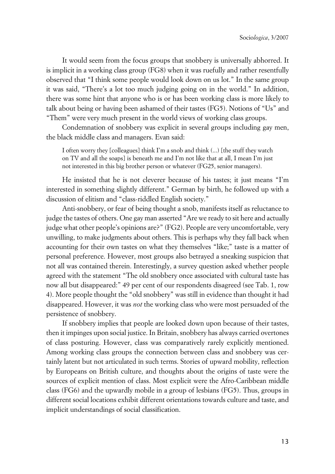It would seem from the focus groups that snobbery is universally abhorred. It is implicit in a working class group (FG8) when it was ruefully and rather resentfully observed that "I think some people would look down on us lot." In the same group it was said, "There's a lot too much judging going on in the world." In addition, there was some hint that anyone who is or has been working class is more likely to talk about being or having been ashamed of their tastes (FG5). Notions of "Us" and "Them" were very much present in the world views of working class groups.

Condemnation of snobbery was explicit in several groups including gay men, the black middle class and managers. Evan said:

I often worry they [colleagues] think I'm a snob and think (...) [the stuff they watch on TV and all the soaps] is beneath me and I'm not like that at all, I mean I'm just not interested in this big brother person or whatever (FG25, senior managers).

He insisted that he is not cleverer because of his tastes; it just means "I'm interested in something slightly different." German by birth, he followed up with a discussion of elitism and "class-riddled English society."

Anti-snobbery, or fear of being thought a snob, manifests itself as reluctance to judge the tastes of others. One gay man asserted "Are we ready to sit here and actually judge what other people's opinions are?" (FG2). People are very uncomfortable, very unwilling, to make judgments about others. This is perhaps why they fall back when accounting for their own tastes on what they themselves "like;" taste is a matter of personal preference. However, most groups also betrayed a sneaking suspicion that not all was contained therein. Interestingly, a survey question asked whether people agreed with the statement "The old snobbery once associated with cultural taste has now all but disappeared:" 49 per cent of our respondents disagreed (see Tab. 1, row 4). More people thought the "old snobbery" was still in evidence than thought it had disappeared. However, it was *not* the working class who were most persuaded of the persistence of snobbery.

If snobbery implies that people are looked down upon because of their tastes, then it impinges upon social justice. In Britain, snobbery has always carried overtones of class posturing. However, class was comparatively rarely explicitly mentioned. Among working class groups the connection between class and snobbery was certainly latent but not articulated in such terms. Stories of upward mobility, reflection by Europeans on British culture, and thoughts about the origins of taste were the sources of explicit mention of class. Most explicit were the Afro-Caribbean middle class (FG6) and the upwardly mobile in a group of lesbians (FG5). Thus, groups in different social locations exhibit different orientations towards culture and taste, and implicit understandings of social classification.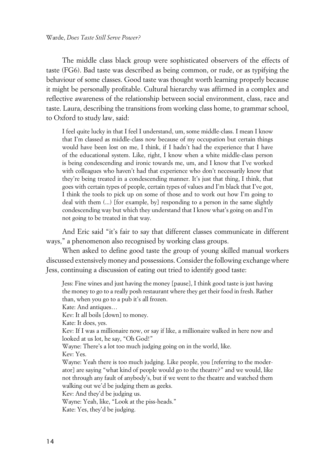The middle class black group were sophisticated observers of the effects of taste (FG6). Bad taste was described as being common, or rude, or as typifying the behaviour of some classes. Good taste was thought worth learning properly because it might be personally profitable. Cultural hierarchy was affirmed in a complex and reflective awareness of the relationship between social environment, class, race and taste. Laura, describing the transitions from working class home, to grammar school, to Oxford to study law, said:

I feel quite lucky in that I feel I understand, um, some middle-class. I mean I know that I'm classed as middle-class now because of my occupation but certain things would have been lost on me, I think, if I hadn't had the experience that I have of the educational system. Like, right, I know when a white middle-class person is being condescending and ironic towards me, um, and I know that I've worked with colleagues who haven't had that experience who don't necessarily know that they're being treated in a condescending manner. It's just that thing, I think, that goes with certain types of people, certain types of values and I'm black that I've got, I think the tools to pick up on some of those and to work out how I'm going to deal with them (...) [for example, by] responding to a person in the same slightly condescending way but which they understand that I know what's going on and I'm not going to be treated in that way.

And Eric said "it's fair to say that different classes communicate in different ways," a phenomenon also recognised by working class groups.

When asked to define good taste the group of young skilled manual workers discussed extensively money and possessions. Consider the following exchange where Jess, continuing a discussion of eating out tried to identify good taste:

Jess: Fine wines and just having the money [pause], I think good taste is just having the money to go to a really posh restaurant where they get their food in fresh. Rather than, when you go to a pub it's all frozen. Kate: And antiques… Kev: It all boils [down] to money. Kate: It does, yes. Kev: If I was a millionaire now, or say if like, a millionaire walked in here now and looked at us lot, he say, "Oh God!" Wayne: There's a lot too much judging going on in the world, like. Kev: Yes. Wayne: Yeah there is too much judging. Like people, you [referring to the moderator] are saying "what kind of people would go to the theatre?" and we would, like not through any fault of anybody's, but if we went to the theatre and watched them walking out we'd be judging them as geeks. Kev: And they'd be judging us. Wayne: Yeah, like, "Look at the piss-heads." Kate: Yes, they'd be judging.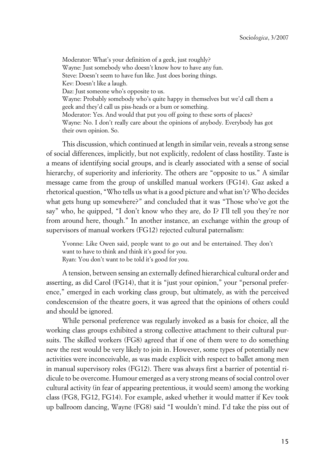Moderator: What's your definition of a geek, just roughly? Wayne: Just somebody who doesn't know how to have any fun. Steve: Doesn't seem to have fun like. Just does boring things. Kev: Doesn't like a laugh. Daz: Just someone who's opposite to us. Wayne: Probably somebody who's quite happy in themselves but we'd call them a geek and they'd call us piss-heads or a bum or something. Moderator: Yes. And would that put you off going to these sorts of places? Wayne: No. I don't really care about the opinions of anybody. Everybody has got their own opinion. So.

This discussion, which continued at length in similar vein, reveals a strong sense of social differences, implicitly, but not explicitly, redolent of class hostility. Taste is a means of identifying social groups, and is clearly associated with a sense of social hierarchy, of superiority and inferiority. The others are "opposite to us." A similar message came from the group of unskilled manual workers (FG14). Gaz asked a rhetorical question, "Who tells us what is a good picture and what isn't? Who decides what gets hung up somewhere?" and concluded that it was "Those who've got the say" who, he quipped, "I don't know who they are, do I? I'll tell you they're nor from around here, though." In another instance, an exchange within the group of supervisors of manual workers (FG12) rejected cultural paternalism:

Yvonne: Like Owen said, people want to go out and be entertained. They don't want to have to think and think it's good for you. Ryan: You don't want to be told it's good for you.

A tension, between sensing an externally defined hierarchical cultural order and asserting, as did Carol (FG14), that it is "just your opinion," your "personal preference," emerged in each working class group, but ultimately, as with the perceived condescension of the theatre goers, it was agreed that the opinions of others could and should be ignored.

While personal preference was regularly invoked as a basis for choice, all the working class groups exhibited a strong collective attachment to their cultural pursuits. The skilled workers (FG8) agreed that if one of them were to do something new the rest would be very likely to join in. However, some types of potentially new activities were inconceivable, as was made explicit with respect to ballet among men in manual supervisory roles (FG12). There was always first a barrier of potential ridicule to be overcome. Humour emerged as a very strong means of social control over cultural activity (in fear of appearing pretentious, it would seem) among the working class (FG8, FG12, FG14). For example, asked whether it would matter if Kev took up ballroom dancing, Wayne (FG8) said "I wouldn't mind. I'd take the piss out of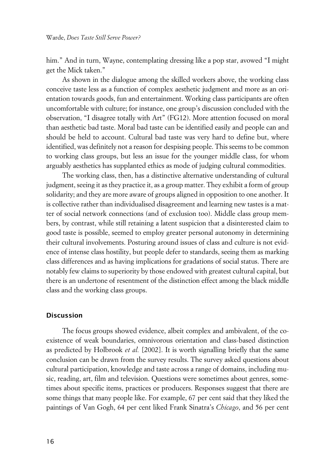him." And in turn, Wayne, contemplating dressing like a pop star, avowed "I might get the Mick taken."

As shown in the dialogue among the skilled workers above, the working class conceive taste less as a function of complex aesthetic judgment and more as an orientation towards goods, fun and entertainment. Working class participants are often uncomfortable with culture; for instance, one group's discussion concluded with the observation, "I disagree totally with Art" (FG12). More attention focused on moral than aesthetic bad taste. Moral bad taste can be identified easily and people can and should be held to account. Cultural bad taste was very hard to define but, where identified, was definitely not a reason for despising people. This seems to be common to working class groups, but less an issue for the younger middle class, for whom arguably aesthetics has supplanted ethics as mode of judging cultural commodities.

The working class, then, has a distinctive alternative understanding of cultural judgment, seeing it as they practice it, as a group matter. They exhibit a form of group solidarity; and they are more aware of groups aligned in opposition to one another. It is collective rather than individualised disagreement and learning new tastes is a matter of social network connections (and of exclusion too). Middle class group members, by contrast, while still retaining a latent suspicion that a disinterested claim to good taste is possible, seemed to employ greater personal autonomy in determining their cultural involvements. Posturing around issues of class and culture is not evidence of intense class hostility, but people defer to standards, seeing them as marking class differences and as having implications for gradations of social status. There are notably few claims to superiority by those endowed with greatest cultural capital, but there is an undertone of resentment of the distinction effect among the black middle class and the working class groups.

#### **xDiscussion**

The focus groups showed evidence, albeit complex and ambivalent, of the coexistence of weak boundaries, omnivorous orientation and class-based distinction as predicted by Holbrook *et al.* [2002]. It is worth signalling briefly that the same conclusion can be drawn from the survey results. The survey asked questions about cultural participation, knowledge and taste across a range of domains, including music, reading, art, film and television. Questions were sometimes about genres, sometimes about specific items, practices or producers. Responses suggest that there are some things that many people like. For example, 67 per cent said that they liked the paintings of Van Gogh, 64 per cent liked Frank Sinatra's *Chicago*, and 56 per cent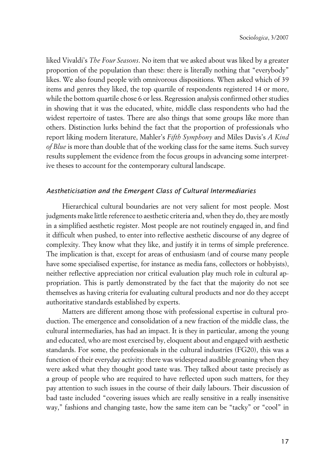liked Vivaldi's *The Four Seasons*. No item that we asked about was liked by a greater proportion of the population than these: there is literally nothing that "everybody" likes. We also found people with omnivorous dispositions. When asked which of 39 items and genres they liked, the top quartile of respondents registered 14 or more, while the bottom quartile chose 6 or less. Regression analysis confirmed other studies in showing that it was the educated, white, middle class respondents who had the widest repertoire of tastes. There are also things that some groups like more than others. Distinction lurks behind the fact that the proportion of professionals who report liking modern literature, Mahler's *Fifth Symphony* and Miles Davis's *A Kind of Blue* is more than double that of the working class for the same items. Such survey results supplement the evidence from the focus groups in advancing some interpretive theses to account for the contemporary cultural landscape.

#### x*Aestheticisation and the Emergent Class of Cultural Intermediaries*

Hierarchical cultural boundaries are not very salient for most people. Most judgments make little reference to aesthetic criteria and, when they do, they are mostly in a simplified aesthetic register. Most people are not routinely engaged in, and find it difficult when pushed, to enter into reflective aesthetic discourse of any degree of complexity. They know what they like, and justify it in terms of simple preference. The implication is that, except for areas of enthusiasm (and of course many people have some specialised expertise, for instance as media fans, collectors or hobbyists), neither reflective appreciation nor critical evaluation play much role in cultural appropriation. This is partly demonstrated by the fact that the majority do not see themselves as having criteria for evaluating cultural products and nor do they accept authoritative standards established by experts.

Matters are different among those with professional expertise in cultural production. The emergence and consolidation of a new fraction of the middle class, the cultural intermediaries, has had an impact. It is they in particular, among the young and educated, who are most exercised by, eloquent about and engaged with aesthetic standards. For some, the professionals in the cultural industries (FG20), this was a function of their everyday activity: there was widespread audible groaning when they were asked what they thought good taste was. They talked about taste precisely as a group of people who are required to have reflected upon such matters, for they pay attention to such issues in the course of their daily labours. Their discussion of bad taste included "covering issues which are really sensitive in a really insensitive way," fashions and changing taste, how the same item can be "tacky" or "cool" in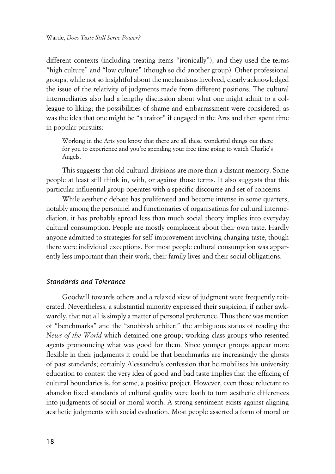different contexts (including treating items "ironically"), and they used the terms "high culture" and "low culture" (though so did another group). Other professional groups, while not so insightful about the mechanisms involved, clearly acknowledged the issue of the relativity of judgments made from different positions. The cultural intermediaries also had a lengthy discussion about what one might admit to a colleague to liking; the possibilities of shame and embarrassment were considered, as was the idea that one might be "a traitor" if engaged in the Arts and then spent time in popular pursuits:

Working in the Arts you know that there are all these wonderful things out there for you to experience and you're spending your free time going to watch Charlie's Angels.

This suggests that old cultural divisions are more than a distant memory. Some people at least still think in, with, or against those terms. It also suggests that this particular influential group operates with a specific discourse and set of concerns.

While aesthetic debate has proliferated and become intense in some quarters, notably among the personnel and functionaries of organisations for cultural intermediation, it has probably spread less than much social theory implies into everyday cultural consumption. People are mostly complacent about their own taste. Hardly anyone admitted to strategies for self-improvement involving changing taste, though there were individual exceptions. For most people cultural consumption was apparently less important than their work, their family lives and their social obligations.

#### x*Standards and Tolerance*

Goodwill towards others and a relaxed view of judgment were frequently reiterated. Nevertheless, a substantial minority expressed their suspicion, if rather awkwardly, that not all is simply a matter of personal preference. Thus there was mention of "benchmarks" and the "snobbish arbiter;" the ambiguous status of reading the *News of the World* which detained one group; working class groups who resented agents pronouncing what was good for them. Since younger groups appear more flexible in their judgments it could be that benchmarks are increasingly the ghosts of past standards; certainly Alessandro's confession that he mobilises his university education to contest the very idea of good and bad taste implies that the effacing of cultural boundaries is, for some, a positive project. However, even those reluctant to abandon fixed standards of cultural quality were loath to turn aesthetic differences into judgments of social or moral worth. A strong sentiment exists against aligning aesthetic judgments with social evaluation. Most people asserted a form of moral or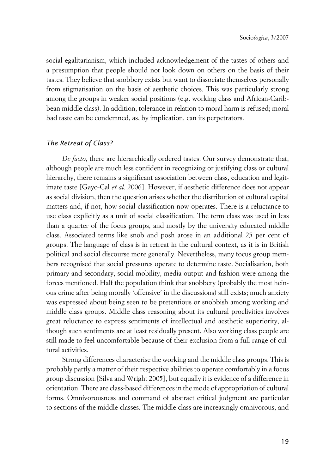social egalitarianism, which included acknowledgement of the tastes of others and a presumption that people should not look down on others on the basis of their tastes. They believe that snobbery exists but want to dissociate themselves personally from stigmatisation on the basis of aesthetic choices. This was particularly strong among the groups in weaker social positions (e.g. working class and African-Caribbean middle class). In addition, tolerance in relation to moral harm is refused; moral bad taste can be condemned, as, by implication, can its perpetrators.

#### x*The Retreat of Class?*

*De facto*, there are hierarchically ordered tastes. Our survey demonstrate that, although people are much less confident in recognizing or justifying class or cultural hierarchy, there remains a significant association between class, education and legitimate taste [Gayo-Cal *et al.* 2006]. However, if aesthetic difference does not appear as social division, then the question arises whether the distribution of cultural capital matters and, if not, how social classification now operates. There is a reluctance to use class explicitly as a unit of social classification. The term class was used in less than a quarter of the focus groups, and mostly by the university educated middle class. Associated terms like snob and posh arose in an additional 25 per cent of groups. The language of class is in retreat in the cultural context, as it is in British political and social discourse more generally. Nevertheless, many focus group members recognised that social pressures operate to determine taste. Socialisation, both primary and secondary, social mobility, media output and fashion were among the forces mentioned. Half the population think that snobbery (probably the most heinous crime after being morally 'offensive' in the discussions) still exists; much anxiety was expressed about being seen to be pretentious or snobbish among working and middle class groups. Middle class reasoning about its cultural proclivities involves great reluctance to express sentiments of intellectual and aesthetic superiority, although such sentiments are at least residually present. Also working class people are still made to feel uncomfortable because of their exclusion from a full range of cultural activities.

Strong differences characterise the working and the middle class groups. This is probably partly a matter of their respective abilities to operate comfortably in a focus group discussion [Silva and Wright 2005], but equally it is evidence of a difference in orientation. There are class-based differences in the mode of appropriation of cultural forms. Omnivorousness and command of abstract critical judgment are particular to sections of the middle classes. The middle class are increasingly omnivorous, and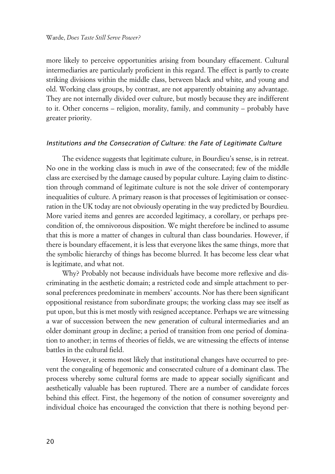more likely to perceive opportunities arising from boundary effacement. Cultural intermediaries are particularly proficient in this regard. The effect is partly to create striking divisions within the middle class, between black and white, and young and old. Working class groups, by contrast, are not apparently obtaining any advantage. They are not internally divided over culture, but mostly because they are indifferent to it. Other concerns – religion, morality, family, and community – probably have greater priority.

#### *Institutions and the Consecration of Culture: the Fate of Legitimate Culture*

The evidence suggests that legitimate culture, in Bourdieu's sense, is in retreat. No one in the working class is much in awe of the consecrated; few of the middle class are exercised by the damage caused by popular culture. Laying claim to distinction through command of legitimate culture is not the sole driver of contemporary inequalities of culture. A primary reason is that processes of legitimisation or consecration in the UK today are not obviously operating in the way predicted by Bourdieu. More varied items and genres are accorded legitimacy, a corollary, or perhaps precondition of, the omnivorous disposition. We might therefore be inclined to assume that this is more a matter of changes in cultural than class boundaries. However, if there is boundary effacement, it is less that everyone likes the same things, more that the symbolic hierarchy of things has become blurred. It has become less clear what is legitimate, and what not.

Why? Probably not because individuals have become more reflexive and discriminating in the aesthetic domain; a restricted code and simple attachment to personal preferences predominate in members' accounts. Nor has there been significant oppositional resistance from subordinate groups; the working class may see itself as put upon, but this is met mostly with resigned acceptance. Perhaps we are witnessing a war of succession between the new generation of cultural intermediaries and an older dominant group in decline; a period of transition from one period of domination to another; in terms of theories of fields, we are witnessing the effects of intense battles in the cultural field.

However, it seems most likely that institutional changes have occurred to prevent the congealing of hegemonic and consecrated culture of a dominant class. The process whereby some cultural forms are made to appear socially significant and aesthetically valuable has been ruptured. There are a number of candidate forces behind this effect. First, the hegemony of the notion of consumer sovereignty and individual choice has encouraged the conviction that there is nothing beyond per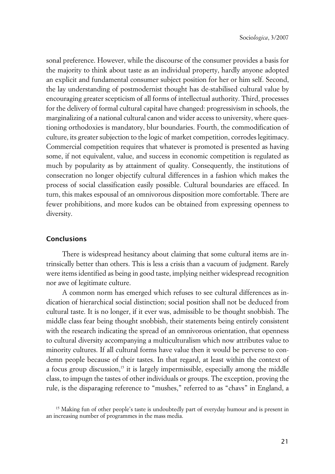sonal preference. However, while the discourse of the consumer provides a basis for the majority to think about taste as an individual property, hardly anyone adopted an explicit and fundamental consumer subject position for her or him self. Second, the lay understanding of postmodernist thought has de-stabilised cultural value by encouraging greater scepticism of all forms of intellectual authority. Third, processes for the delivery of formal cultural capital have changed: progressivism in schools, the marginalizing of a national cultural canon and wider access to university, where questioning orthodoxies is mandatory, blur boundaries. Fourth, the commodification of culture, its greater subjection to the logic of market competition, corrodes legitimacy. Commercial competition requires that whatever is promoted is presented as having some, if not equivalent, value, and success in economic competition is regulated as much by popularity as by attainment of quality. Consequently, the institutions of consecration no longer objectify cultural differences in a fashion which makes the process of social classification easily possible. Cultural boundaries are effaced. In turn, this makes espousal of an omnivorous disposition more comfortable. There are fewer prohibitions, and more kudos can be obtained from expressing openness to diversity.

#### **Conclusions**

There is widespread hesitancy about claiming that some cultural items are intrinsically better than others. This is less a crisis than a vacuum of judgment. Rarely were items identified as being in good taste, implying neither widespread recognition nor awe of legitimate culture.

A common norm has emerged which refuses to see cultural differences as indication of hierarchical social distinction; social position shall not be deduced from cultural taste. It is no longer, if it ever was, admissible to be thought snobbish. The middle class fear being thought snobbish, their statements being entirely consistent with the research indicating the spread of an omnivorous orientation, that openness to cultural diversity accompanying a multiculturalism which now attributes value to minority cultures. If all cultural forms have value then it would be perverse to condemn people because of their tastes. In that regard, at least within the context of a focus group discussion,<sup>15</sup> it is largely impermissible, especially among the middle class, to impugn the tastes of other individuals or groups. The exception, proving the rule, is the disparaging reference to "mushes," referred to as "chavs" in England, a

<sup>&</sup>lt;sup>15</sup> Making fun of other people's taste is undoubtedly part of everyday humour and is present in an increasing number of programmes in the mass media.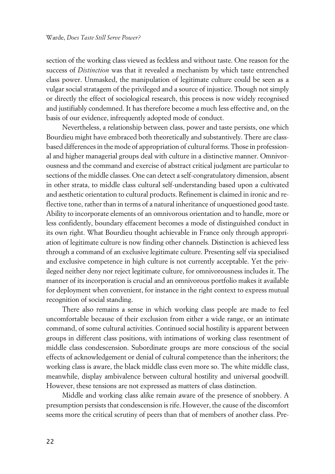section of the working class viewed as feckless and without taste. One reason for the success of *Distinction* was that it revealed a mechanism by which taste entrenched class power. Unmasked, the manipulation of legitimate culture could be seen as a vulgar social stratagem of the privileged and a source of injustice. Though not simply or directly the effect of sociological research, this process is now widely recognised and justifiably condemned. It has therefore become a much less effective and, on the basis of our evidence, infrequently adopted mode of conduct.

Nevertheless, a relationship between class, power and taste persists, one which Bourdieu might have embraced both theoretically and substantively. There are classbased differences in the mode of appropriation of cultural forms. Those in professional and higher managerial groups deal with culture in a distinctive manner. Omnivorousness and the command and exercise of abstract critical judgment are particular to sections of the middle classes. One can detect a self-congratulatory dimension, absent in other strata, to middle class cultural self-understanding based upon a cultivated and aesthetic orientation to cultural products. Refinement is claimed in ironic and reflective tone, rather than in terms of a natural inheritance of unquestioned good taste. Ability to incorporate elements of an omnivorous orientation and to handle, more or less confidently, boundary effacement becomes a mode of distinguished conduct in its own right. What Bourdieu thought achievable in France only through appropriation of legitimate culture is now finding other channels. Distinction is achieved less through a command of an exclusive legitimate culture. Presenting self via specialised and exclusive competence in high culture is not currently acceptable. Yet the privileged neither deny nor reject legitimate culture, for omnivorousness includes it. The manner of its incorporation is crucial and an omnivorous portfolio makes it available for deployment when convenient, for instance in the right context to express mutual recognition of social standing.

There also remains a sense in which working class people are made to feel uncomfortable because of their exclusion from either a wide range, or an intimate command, of some cultural activities. Continued social hostility is apparent between groups in different class positions, with intimations of working class resentment of middle class condescension. Subordinate groups are more conscious of the social effects of acknowledgement or denial of cultural competence than the inheritors; the working class is aware, the black middle class even more so. The white middle class, meanwhile, display ambivalence between cultural hostility and universal goodwill. However, these tensions are not expressed as matters of class distinction.

Middle and working class alike remain aware of the presence of snobbery. A presumption persists that condescension is rife. However, the cause of the discomfort seems more the critical scrutiny of peers than that of members of another class. Pre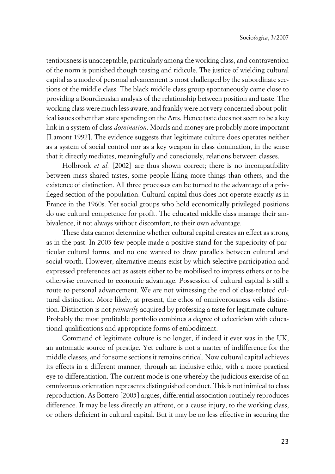tentiousness is unacceptable, particularly among the working class, and contravention of the norm is punished though teasing and ridicule. The justice of wielding cultural capital as a mode of personal advancement is most challenged by the subordinate sections of the middle class. The black middle class group spontaneously came close to providing a Bourdieusian analysis of the relationship between position and taste. The working class were much less aware, and frankly were not very concerned about political issues other than state spending on the Arts. Hence taste does not seem to be a key link in a system of class *domination*. Morals and money are probably more important [Lamont 1992]. The evidence suggests that legitimate culture does operates neither as a system of social control nor as a key weapon in class domination, in the sense that it directly mediates, meaningfully and consciously, relations between classes.

Holbrook *et al.* [2002] are thus shown correct; there is no incompatibility between mass shared tastes, some people liking more things than others, and the existence of distinction. All three processes can be turned to the advantage of a privileged section of the population. Cultural capital thus does not operate exactly as in France in the 1960s. Yet social groups who hold economically privileged positions do use cultural competence for profit. The educated middle class manage their ambivalence, if not always without discomfort, to their own advantage.

These data cannot determine whether cultural capital creates an effect as strong as in the past. In 2003 few people made a positive stand for the superiority of particular cultural forms, and no one wanted to draw parallels between cultural and social worth. However, alternative means exist by which selective participation and expressed preferences act as assets either to be mobilised to impress others or to be otherwise converted to economic advantage. Possession of cultural capital is still a route to personal advancement. We are not witnessing the end of class-related cultural distinction. More likely, at present, the ethos of omnivorousness veils distinction. Distinction is not *primarily* acquired by professing a taste for legitimate culture. Probably the most profitable portfolio combines a degree of eclecticism with educational qualifications and appropriate forms of embodiment.

Command of legitimate culture is no longer, if indeed it ever was in the UK, an automatic source of prestige. Yet culture is not a matter of indifference for the middle classes, and for some sections it remains critical. Now cultural capital achieves its effects in a different manner, through an inclusive ethic, with a more practical eye to differentiation. The current mode is one whereby the judicious exercise of an omnivorous orientation represents distinguished conduct. This is not inimical to class reproduction. As Bottero [2005] argues, differential association routinely reproduces difference. It may be less directly an affront, or a cause injury, to the working class, or others deficient in cultural capital. But it may be no less effective in securing the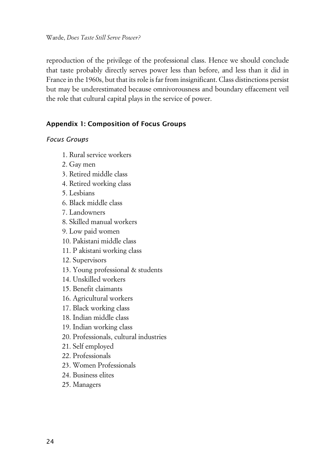reproduction of the privilege of the professional class. Hence we should conclude that taste probably directly serves power less than before, and less than it did in France in the 1960s, but that its role is far from insignificant. Class distinctions persist but may be underestimated because omnivorousness and boundary effacement veil the role that cultural capital plays in the service of power.

### **xAppendix 1: Composition of Focus Groups**

#### **Focus Groups**

- 1. Rural service workers
- 2. Gay men
- 3. Retired middle class
- 4. Retired working class
- 5. Lesbians
- 6. Black middle class
- 7. Landowners
- 8. Skilled manual workers
- 9. Low paid women
- 10. Pakistani middle class
- 11. P akistani working class
- 12. Supervisors
- 13. Young professional & students
- 14. Unskilled workers
- 15. Benefit claimants
- 16. Agricultural workers
- 17. Black working class
- 18. Indian middle class
- 19. Indian working class
- 20. Professionals, cultural industries
- 21. Self employed
- 22. Professionals
- 23. Women Professionals
- 24. Business elites
- 25. Managers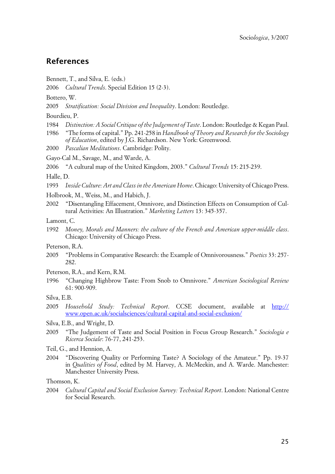## **References**

- Bennett, T., and Silva, E. (eds.)
- 2006 *Cultural Trends*. Special Edition 15 (2-3).
- Bottero, W.
- 2005 *Stratification: Social Division and Inequality*. London: Routledge.
- Bourdieu, P.
- 1984 *Distinction: A Social Critique of the Judgement of Taste*. London: Routledge & Kegan Paul.
- 1986 "The forms of capital." Pp. 241-258 in *Handbook of Theory and Research for the Sociology of Education*, edited by J.G. Richardson. New York: Greenwood.
- 2000 *Pascalian Meditations*. Cambridge: Polity.
- Gayo-Cal M., Savage, M., and Warde, A.
- 2006 "A cultural map of the United Kingdom, 2003." *Cultural Trends* 15: 215-239.

Halle, D.

1993 *Inside Culture: Art and Class in the American Home*. Chicago: University of Chicago Press.

- Holbrook, M., Weiss, M., and Habich, J.
- 2002 "Disentangling Effacement, Omnivore, and Distinction Effects on Consumption of Cultural Activities: An Illustration." *Marketing Letters* 13: 345-357.
- Lamont, C.
- 1992 *Money, Morals and Manners: the culture of the French and American upper-middle class*. Chicago: University of Chicago Press.

Peterson, R.A.

- 2005 "Problems in Comparative Research: the Example of Omnivorousness." *Poetics* 33: 257- 282.
- Peterson, R.A., and Kern, R.M.
- 1996 "Changing Highbrow Taste: From Snob to Omnivore." *American Sociological Review* 61: 900-909.

- 2005 *Household Study: Technical Report*. CCSE document, available at [http://](http://www.open.ac.uk/socialsciences/cultural-capital-and-social-exclusion/) [www.open.ac.uk/socialsciences/cultural-capital-and-social-exclusion/](http://www.open.ac.uk/socialsciences/cultural-capital-and-social-exclusion/)
- Silva, E.B., and Wright, D.
- 2005 "The Judgement of Taste and Social Position in Focus Group Research." *Sociologia e Ricerca Sociale*: 76-77, 241-253.
- Teil, G., and Hennion, A.
- 2004 "Discovering Quality or Performing Taste? A Sociology of the Amateur." Pp. 19-37 in *Qualities of Food*, edited by M. Harvey, A. McMeekin, and A. Warde. Manchester: Manchester University Press.

Thomson, K.

2004 *Cultural Capital and Social Exclusion Survey: Technical Report*. London: National Centre for Social Research.

Silva, E.B.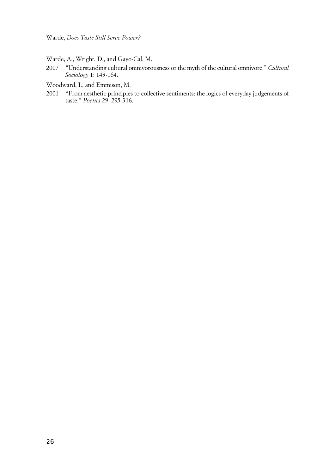Warde, A., Wright, D., and Gayo-Cal, M.

2007 "Understanding cultural omnivorousness or the myth of the cultural omnivore." *Cultural Sociology* 1: 143-164.

Woodward, I., and Emmison, M.

2001 "From aesthetic principles to collective sentiments: the logics of everyday judgements of taste." *Poetics* 29: 295-316.